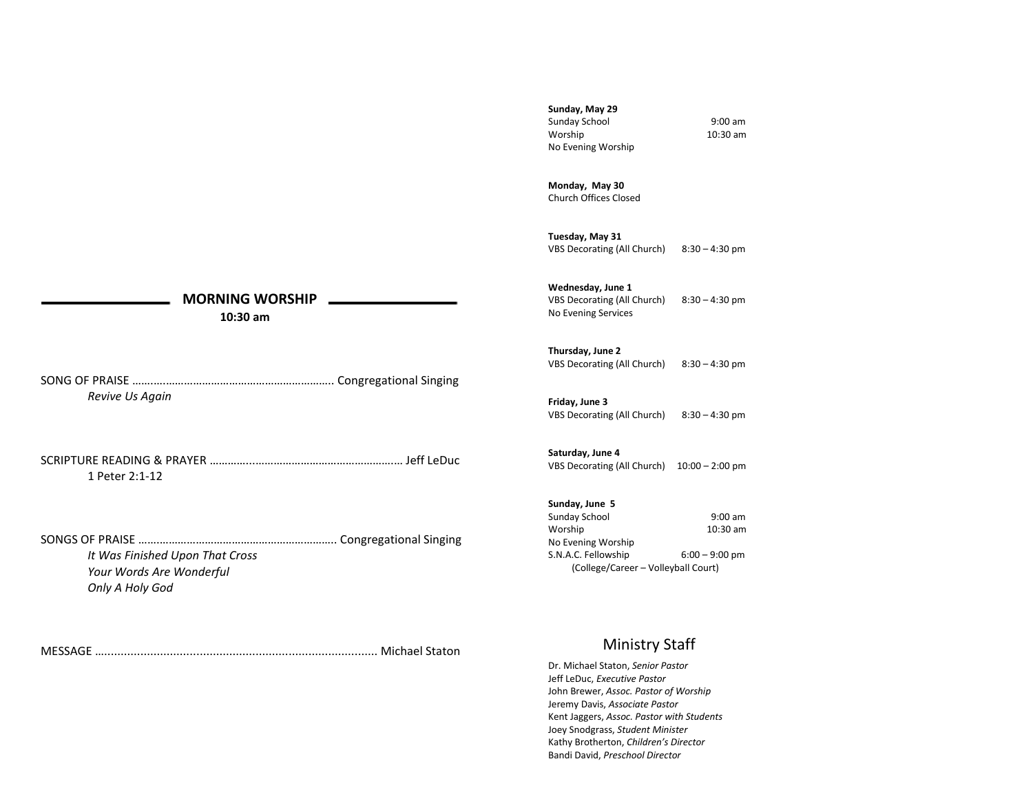**Sunday, May 29** Sunday School 9:00 am Worship 10:30 am No Evening Worship

**Monday, May 30** Church Offices Closed

**Tuesday, May 31** VBS Decorating (All Church) 8:30 – 4:30 pm

**Wednesday, June 1** VBS Decorating (All Church) 8:30 – 4:30 pm No Evening Services

**Thursday, June 2** VBS Decorating (All Church) 8:30 – 4:30 pm

**Friday, June 3** VBS Decorating (All Church) 8:30 – 4:30 pm

**Saturday, June 4** VBS Decorating (All Church) 10:00 – 2:00 pm

**Sunday, June 5** Sunday School 9:00 am

Worship 10:30 am No Evening Worship S.N.A.C. Fellowship 6:00 – 9:00 pm (College/Career – Volleyball Court)

# Ministry Staff

Dr. Michael Staton, *Senior Pastor* Jeff LeDuc, *Executive Pastor* John Brewer, *Assoc. Pastor of Worship* Jeremy Davis, *Associate Pastor* Kent Jaggers, *Assoc. Pastor with Students* Joey Snodgrass, *Student Minister* Kathy Brotherton, *Children's Director* Bandi David, *Preschool Director*

# **MORNING WORSHIP**

 **10:30 am**

SONG OF PRAISE …….….……………………………………………….. Congregational Singing *Revive Us Again*

SCRIPTURE READING & PRAYER …………...……………………………………….… Jeff LeDuc 1 Peter 2:1-12

SONGS OF PRAISE …….………………………………………………….. Congregational Singing *It Was Finished Upon That Cross Your Words Are Wonderful Only A Holy God*

MESSAGE …................................................................................... Michael Staton